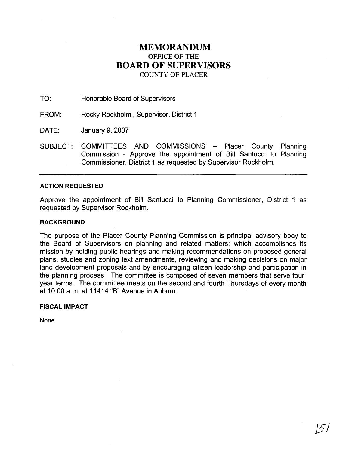# **MEMORANDUM**  OFFICE OF THE **BOARD OF SUPERVISORS**  COUNTY OF PLACER

TO: Honorable Board of Supervisors

FROM: Rocky Rockholm , Supervisor, District 1

DATE: January 9, 2007

SUBJECT: COMMITTEES AND COMMISSIONS - Placer County Planning Commission - Approve the appointment of Bill Santucci to Planning Commissioner, District 1 as requested by Supervisor Rockholm.

### **ACTION REQUESTED**

Approve the appointment of Bill Santucci to Planning Commissioner, District 1 as requested by Supervisor Rockholm.

### **BACKGROUND**

The purpose of the Placer County Planning Commission is principal advisory body to the Board of Supervisors on planning and related matters; which accomplishes its mission by holding public hearings and making recommendations on proposed general plans, studies and zoning text amendments, reviewing and making decisions on major land development proposals and by encouraging citizen leadership and participation in the planning process. The committee is composed of seven members that serve fouryear terms. The committee meets on the second and fourth Thursdays of every month at 10:OO a.m. at 11414 "B" Avenue in Auburn.

#### **FISCAL IMPACT**

None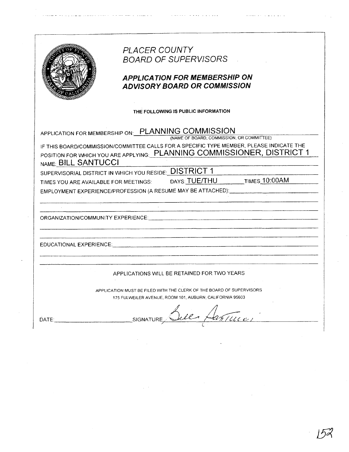|                     | PLACER COUNTY                                                                                                                                                                                                                  |
|---------------------|--------------------------------------------------------------------------------------------------------------------------------------------------------------------------------------------------------------------------------|
|                     | <b>BOARD OF SUPERVISORS</b>                                                                                                                                                                                                    |
|                     | <b>APPLICATION FOR MEMBERSHIP ON</b><br><b>ADVISORY BOARD OR COMMISSION</b>                                                                                                                                                    |
|                     | THE FOLLOWING IS PUBLIC INFORMATION                                                                                                                                                                                            |
|                     | APPLICATION FOR MEMBERSHIP ON: PLANNING COMMISSION                                                                                                                                                                             |
|                     | (NAME OF BOARD, COMMISSION, OR COMMITTEE)<br>IF THIS BOARD/COMMISSION/COMMITTEE CALLS FOR A SPECIFIC TYPE MEMBER, PLEASE INDICATE THE<br>POSITION FOR WHICH YOU ARE APPLYING: PLANNING COMMISSIONER, DISTRICT 1                |
| NAME: BILL SANTUCCI |                                                                                                                                                                                                                                |
|                     | SUPERVISORIAL DISTRICT IN WHICH YOU RESIDE: DISTRICT 1<br>TIMES YOU ARE AVAILABLE FOR MEETINGS: DAYS: TUE/THU TIMES 10:00AM                                                                                                    |
|                     | EMPLOYMENT EXPERIENCE/PROFESSION (A RESUME MAY BE ATTACHED): CONTROLLED AND THE CONTROL CONTROL CONTROL CONTROL CONTROL CONTROL CONTROL CONTROL CONTROL CONTROL CONTROL CONTROL CONTROL CONTROL CONTROL CONTROL CONTROL CONTRO |
|                     |                                                                                                                                                                                                                                |
|                     |                                                                                                                                                                                                                                |
|                     |                                                                                                                                                                                                                                |
|                     |                                                                                                                                                                                                                                |
|                     |                                                                                                                                                                                                                                |
|                     | EDUCATIONAL EXPERIENCE: CONTRACT CONTRACT CONTRACT CONTRACT CONTRACT CONTRACT CONTRACT CONTRACT CONTRACT CONTR                                                                                                                 |
|                     |                                                                                                                                                                                                                                |
|                     |                                                                                                                                                                                                                                |
|                     | APPLICATIONS WILL BE RETAINED FOR TWO YEARS                                                                                                                                                                                    |
|                     | APPLICATION MUST BE FILED WITH THE CLERK OF THE BOARD OF SUPERVISORS                                                                                                                                                           |
|                     | 175 FULWEILER AVENUE, ROOM 101, AUBURN, CALIFORNIA 95603                                                                                                                                                                       |
|                     |                                                                                                                                                                                                                                |
| DATE:               | We Hartun<br>SIGNATURE                                                                                                                                                                                                         |
|                     |                                                                                                                                                                                                                                |
|                     |                                                                                                                                                                                                                                |

 $\hat{\rho}$  ,  $\hat{\rho}$ 

 $\bar{z}$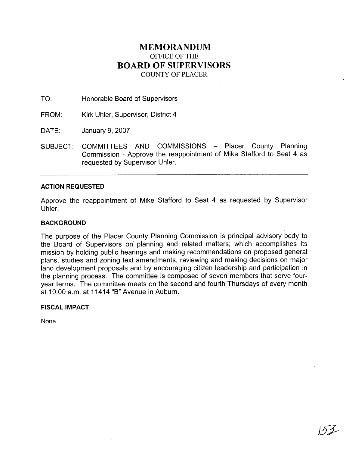# **MEMORANDUM**  OFFICE OF THE **BOARD OF SUPERVISORS**  COUNTY OF PLACER

TO: Honorable Board of Supervisors

FROM: Kirk Uhler, Supervisor, District 4

DATE: January 9, 2007

SUBJECT: COMMITTEES AND COMMISSIONS - Placer County Planning Commission - Approve the reappointment of Mike Stafford to Seat 4 as requested by Supervisor Uhler.

### **ACTION REQUESTED**

Approve the reappointment of Mike Stafford to Seat 4 as requested by Supervisor Uhler.

### **BACKGROUND**

The purpose of the Placer County Planning Commission is principal advisory body to the Board of Supervisors on planning and related matters; which accomplishes its mission by holding public hearings and making recommendations on proposed general plans, studies and zoning text amendments, reviewing and making decisions on major land development proposals and by encouraging citizen leadership and participation in the planning process. The committee is composed of seven members that serve fouryear terms. The committee meets on the second and fourth Thursdays of every month at 10:OO a.m. at 11414 "B" Avenue in Auburn.

### **FISCAL IMPACT**

None